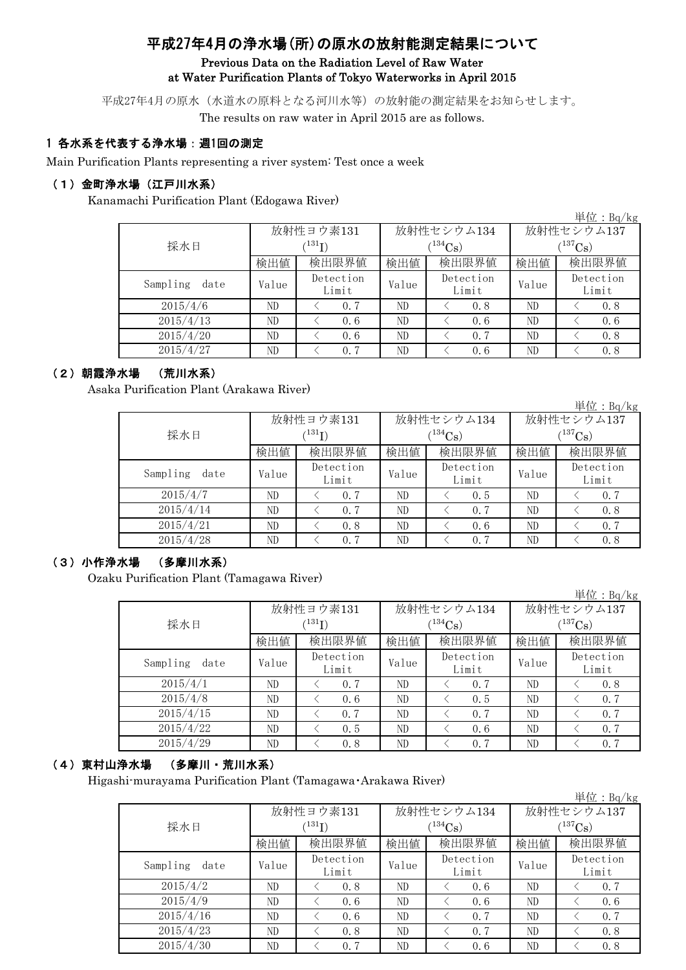# 平成27年4月の浄水場(所)の原水の放射能測定結果について

### Previous Data on the Radiation Level of Raw Water at Water Purification Plants of Tokyo Waterworks in April 2015

平成27年4月の原水(水道水の原料となる河川水等)の放射能の測定結果をお知らせします。 The results on raw water in April 2015 are as follows.

### 1 各水系を代表する浄水場:週1回の測定

Main Purification Plants representing a river system: Test once a week

#### (1)金町浄水場(江戸川水系)

Kanamachi Purification Plant (Edogawa River)

単位:Bq/kg 検出値 | 検出限量 | 検出限界値 | 検出値 | 検出限界値 Value <del>Detection</del> Value Detection Value ND < 0.7 ND < 0.8 ND < 0.8 ND < 0.6 ND < 0.6 ND < 0.6 ND < 0.6 ND < 0.7 ND < 0.8 ND < 0.7 ND < 0.6 ND < 0.8 Sampling date Detection Limit Detection Limit Detection Limit 2015/4/6 2015/4/13 2015/4/20 2015/4/27 採水日 放射性ヨウ素131  $(^{131}\text{I})$ 放射性セシウム134  $(^{134}Cs)$ 放射性セシウム137  $(^{137}Cs)$ 

## (2)朝霞浄水場 (荒川水系)

Asaka Purification Plant (Arakawa River)

|                  |       |                    |       |                    |                       | 単位: Bq/kg          |  |  |
|------------------|-------|--------------------|-------|--------------------|-----------------------|--------------------|--|--|
|                  |       | 放射性ヨウ素131          |       | 放射性セシウム134         | 放射性セシウム137            |                    |  |  |
| (131)<br>採水日     |       |                    |       | $(134)$ Cs         | $(^{137}\mathrm{Cs})$ |                    |  |  |
|                  | 検出値   | 検出限界値              | 検出値   | 検出限界値              | 検出値                   | 検出限界値              |  |  |
| Sampling<br>date | Value | Detection<br>Limit | Value | Detection<br>Limit | Value                 | Detection<br>Limit |  |  |
| 2015/4/7         | ND    | 0.7                | ND    | 0.5                | ND                    | 0.7                |  |  |
| 2015/4/14        | ND    | 0.7                | ND    | 0.7                | ND                    | 0.8                |  |  |
| 2015/4/21        | ND    | 0.8                | ND    | 0, 6               | ND                    | 0.7                |  |  |
| 2015/4/28        | ND    | 0.7                | ND    | 0.7                | ND                    | 0.8                |  |  |

#### (3)小作浄水場 (多摩川水系)

Ozaku Purification Plant (Tamagawa River)

|                  |       |                    |       |                    |            | 単位:Bg/kg           |  |  |
|------------------|-------|--------------------|-------|--------------------|------------|--------------------|--|--|
|                  |       | 放射性ヨウ素131          |       | 放射性セシウム134         | 放射性セシウム137 |                    |  |  |
| 採水日              |       | (131)              |       | $(134)$ Cs         |            | $(^{137}Cs)$       |  |  |
|                  | 検出値   | 検出限界値              | 検出値   | 検出限界値              | 検出値        | 検出限界値              |  |  |
| Sampling<br>date | Value | Detection<br>Limit | Value | Detection<br>Limit | Value      | Detection<br>Limit |  |  |
| 2015/4/1         | ND    | 0.7                | ND    | 0.7                | ND         | 0.8                |  |  |
| 2015/4/8         | ND    | 0.6                | ND    | 0.5                | ND         | 0.7                |  |  |
| 2015/4/15        | ND    | 0.7                | ND    | 0.7                | ND         | 0.7                |  |  |
| 2015/4/22        | ND    | 0.5                | ND    | 0.6                | ND         | 0.7                |  |  |
| 2015/4/29        | ND    | 0.8                | ND    | 0.7                | ND         | 0.7                |  |  |

## (4)東村山浄水場 (多摩川・荒川水系)

Higashi-murayama Purification Plant (Tamagawa・Arakawa River)

|                  |             |                    |       |                    |              | 単位: $Bq/kg$        |  |  |
|------------------|-------------|--------------------|-------|--------------------|--------------|--------------------|--|--|
|                  |             | 放射性ヨウ素131          |       | 放射性セシウム134         | 放射性セシウム137   |                    |  |  |
| 採水日              | $^{131}$ I) |                    |       | $(134)$ Cs)        | $(^{137}Cs)$ |                    |  |  |
|                  | 検出値         | 検出限界値              | 検出値   | 検出限界値              | 検出値          | 検出限界値              |  |  |
| Sampling<br>date | Value       | Detection<br>Limit | Value | Detection<br>Limit | Value        | Detection<br>Limit |  |  |
| 2015/4/2         | ND          | 0.8                | ND    | 0, 6               | ND           | 0.7                |  |  |
| 2015/4/9         | ND          | 0.6                | ND    | 0.6                | ND           | 0.6                |  |  |
| 2015/4/16        | ND          | 0.6                | ND    | 0.7                | ND           | 0.7                |  |  |
| 2015/4/23        | ND          | 0.8                | ND    | 0.7                | ND           | 0.8                |  |  |
| 2015/4/30        | ND          | 0.7                | ND    | 0.6                | ND           | 0.8                |  |  |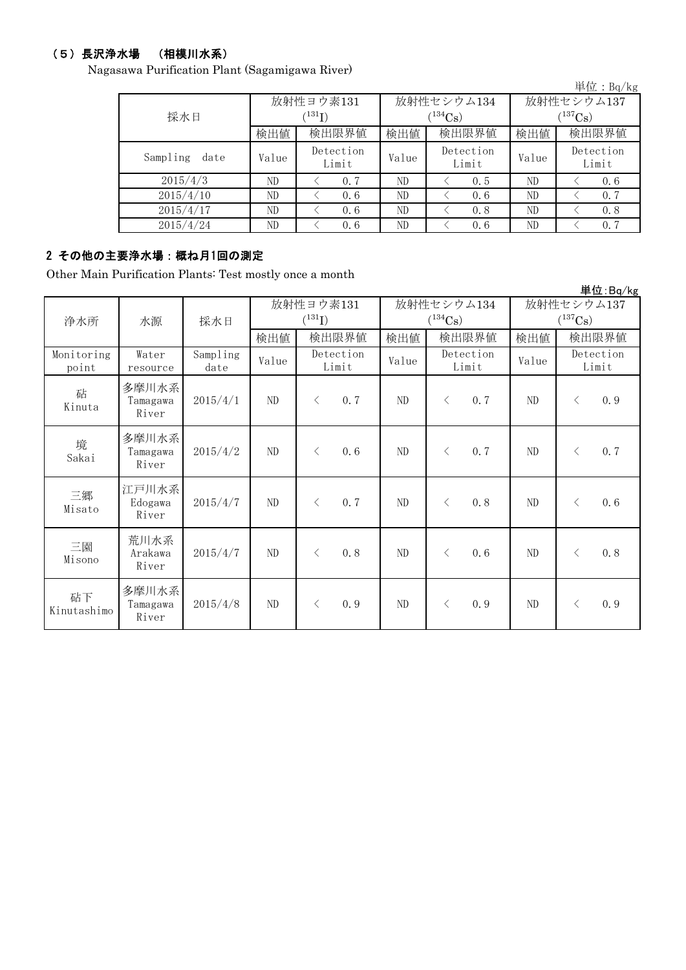## (5)長沢浄水場 (相模川水系)

Nagasawa Purification Plant (Sagamigawa River)

|                  |       |                            |       |                    |              | 単位: Bq/kg          |  |  |
|------------------|-------|----------------------------|-------|--------------------|--------------|--------------------|--|--|
|                  |       | 放射性ヨウ素131                  |       | 放射性セシウム134         | 放射性セシウム137   |                    |  |  |
| 採水日              |       | $^{\prime131} \mathrm{I})$ |       | $(134)$ Cs)        | $(^{137}Cs)$ |                    |  |  |
|                  | 検出値   | 検出限界値                      | 検出値   | 検出限界値              | 検出値          | 検出限界値              |  |  |
| Sampling<br>date | Value | Detection<br>Limit         | Value | Detection<br>Limit | Value        | Detection<br>Limit |  |  |
| 2015/4/3         | ND    | 0.7                        | ND    | 0.5                | ND           | 0, 6               |  |  |
| 2015/4/10        | ND.   | 0.6                        | ND    | 0.6                | ND           | 0.7                |  |  |
| 2015/4/17        | ND    | 0.6                        | ND    | 0.8                | ND           | 0.8                |  |  |
| 2015/4/24        | ND    | 0.6                        | ND    | 0.6                | ND           | 0.7                |  |  |

# 2 その他の主要浄水場:概ね月1回の測定

Other Main Purification Plants: Test mostly once a month

|                     |                            |                  |          |                          |          |                                     |                            | 単位:Bq/kg           |  |
|---------------------|----------------------------|------------------|----------|--------------------------|----------|-------------------------------------|----------------------------|--------------------|--|
| 浄水所                 | 水源                         | 採水日              |          | 放射性ヨウ素131<br>$(^{131}I)$ |          | 放射性セシウム134<br>$(^{134}\mathrm{Cs})$ | 放射性セシウム137<br>$(^{137}Cs)$ |                    |  |
|                     |                            |                  | 検出値      | 検出限界値                    | 検出値      | 検出限界値                               | 検出値                        | 検出限界値              |  |
| Monitoring<br>point | Water<br>resource          | Sampling<br>date | Value    | Detection<br>Limit       | Value    | Detection<br>Limit                  | Value                      | Detection<br>Limit |  |
| 砧<br>Kinuta         | 多摩川水系<br>Tamagawa<br>River | 2015/4/1         | ND       | 0.7<br>$\langle$         | ND       | 0.7<br>$\lt$                        | ND                         | 0.9<br>$\langle$   |  |
| 境<br>Sakai          | 多摩川水系<br>Tamagawa<br>River | 2015/4/2         | ND       | 0.6<br>$\langle$         | ND       | 0.7<br>$\langle$                    | ND                         | 0.7<br>$\lt$       |  |
| 三郷<br>Misato        | 江戸川水系<br>Edogawa<br>River  | 2015/4/7         | $\rm ND$ | 0.7<br>$\lt$             | $\rm ND$ | 0.8<br>$\langle$                    | ND                         | 0.6<br>$\lt$       |  |
| 三園<br>Misono        | 荒川水系<br>Arakawa<br>River   | 2015/4/7         | $\rm ND$ | 0.8<br>$\lt$             | $\rm ND$ | 0.6<br>$\langle$                    | $\rm ND$                   | 0.8<br>$\lt$       |  |
| 砧下<br>Kinutashimo   | 多摩川水系<br>Tamagawa<br>River | 2015/4/8         | ND       | 0.9<br>$\lt$             | ND       | 0.9<br>$\lt$                        | ND                         | 0.9<br>$\lt$       |  |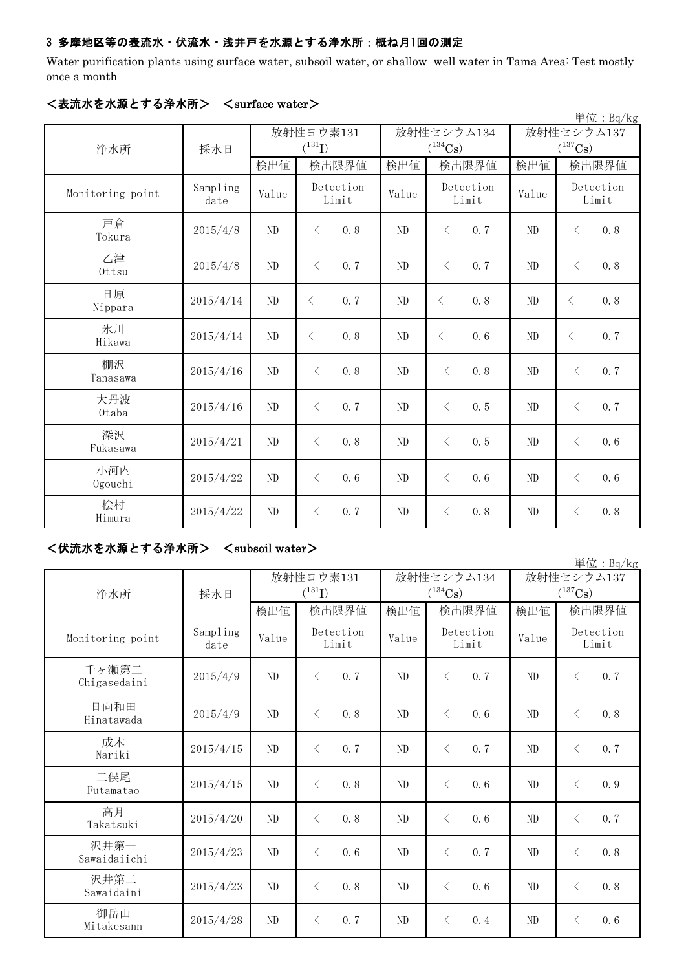## 3 多摩地区等の表流水・伏流水・浅井戸を水源とする浄水所:概ね月1回の測定

Water purification plants using surface water, subsoil water, or shallow well water in Tama Area: Test mostly once a month

| 単位: Bq/kg        |                  |                |                                     |       |                    |                       |                    |  |  |
|------------------|------------------|----------------|-------------------------------------|-------|--------------------|-----------------------|--------------------|--|--|
|                  |                  | 放射性ヨウ素131      |                                     |       | 放射性セシウム134         | 放射性セシウム137            |                    |  |  |
| 浄水所              | 採水日              | $(^{131}I)$    |                                     |       | $(^{134}Cs)$       | $(^{137}\mathrm{Cs})$ |                    |  |  |
|                  |                  | 検出値            | 検出限界値                               | 検出値   | 検出限界値              | 検出値                   | 検出限界値              |  |  |
| Monitoring point | Sampling<br>date | Value          | Detection<br>Limit                  | Value | Detection<br>Limit | Value                 | Detection<br>Limit |  |  |
| 戸倉<br>Tokura     | 2015/4/8         | ND             | 0.8<br>$\langle$                    | ND    | $\langle$<br>0, 7  | ND                    | 0.8<br>$\langle$   |  |  |
| 乙津<br>Ottsu      | 2015/4/8         | ND             | 0.7<br>$\langle$                    | ND    | $\langle$<br>0, 7  | ND                    | 0.8<br>$\langle$   |  |  |
| 日原<br>Nippara    | 2015/4/14        | $\rm ND$       | $\lt$<br>0.7                        | ND    | 0, 8<br>$\langle$  | ND                    | 0.8<br>$\lt$       |  |  |
| 氷川<br>Hikawa     | 2015/4/14        | $\rm ND$       | 0.8<br>$\lt$                        | ND    | $\langle$<br>0.6   | ND                    | 0.7<br>$\lt$       |  |  |
| 棚沢<br>Tanasawa   | 2015/4/16        | ND             | $\langle$<br>0.8                    | ND    | 0, 8<br>$\lt$      | ND                    | 0.7<br>$\langle$   |  |  |
| 大丹波<br>0taba     | 2015/4/16        | N <sub>D</sub> | $\langle$<br>0.7                    | ND    | $\langle$<br>0, 5  | N <sub>D</sub>        | 0.7<br>$\langle$   |  |  |
| 深沢<br>Fukasawa   | 2015/4/21        | N <sub>D</sub> | 0.8<br>$\left\langle \right\rangle$ | ND    | 0.5<br>$\langle$   | ND                    | 0.6<br>$\langle$   |  |  |
| 小河内<br>Ogouchi   | 2015/4/22        | ND             | $\langle$<br>0.6                    | ND    | 0.6<br>$\lt$       | ND                    | $\langle$<br>0.6   |  |  |
| 桧村<br>Himura     | 2015/4/22        | ND             | 0.7<br>$\langle$                    | ND    | 0.8<br>$\langle$   | ND                    | 0.8<br>$\langle$   |  |  |

### <表流水を水源とする浄水所> <surface water>

## <伏流水を水源とする浄水所> <subsoil water>

| 単位: $Bq/kg$           |                  |                |                                     |                |                       |                |                    |  |  |  |
|-----------------------|------------------|----------------|-------------------------------------|----------------|-----------------------|----------------|--------------------|--|--|--|
|                       |                  | 放射性ヨウ素131      |                                     |                | 放射性セシウム134            | 放射性セシウム137     |                    |  |  |  |
| 浄水所                   | 採水日              |                | $(^{131}I)$                         |                | $(^{134}\mathrm{Cs})$ |                | $(^{137}Cs)$       |  |  |  |
|                       |                  | 検出値            | 検出限界値                               | 検出値            | 検出限界値                 | 検出値            | 検出限界値              |  |  |  |
| Monitoring point      | Sampling<br>date | Value          | Detection<br>Limit                  | Value          | Detection<br>Limit    | Value          | Detection<br>Limit |  |  |  |
| 千ヶ瀬第二<br>Chigasedaini | 2015/4/9         | ND             | $\langle$<br>0.7                    | ND             | 0, 7<br>$\langle$     | N <sub>D</sub> | 0.7<br>$\lt$       |  |  |  |
| 日向和田<br>Hinatawada    | 2015/4/9         | ND             | $\langle$<br>0.8                    | N <sub>D</sub> | 0, 6<br>$\lt$         | N <sub>D</sub> | 0.8<br>$\langle$   |  |  |  |
| 成木<br>Nariki          | 2015/4/15        | ND             | $\langle$<br>0.7                    | ND             | 0.7<br>$\langle$      | ND             | 0.7<br>$\lt$       |  |  |  |
| 二俣尾<br>Futamatao      | 2015/4/15        | ND             | $\langle$<br>0, 8                   | ND             | $\langle$<br>0, 6     | N <sub>D</sub> | 0.9<br>$\lt$       |  |  |  |
| 高月<br>Takatsuki       | 2015/4/20        | ND             | $\langle$<br>0.8                    | ND             | $\langle$<br>0.6      | ND             | 0.7<br>$\lt$       |  |  |  |
| 沢井第一<br>Sawaidaiichi  | 2015/4/23        | N <sub>D</sub> | $\langle$<br>0.6                    | N <sub>D</sub> | 0, 7<br>$\langle$     | N <sub>D</sub> | 0.8<br>$\langle$   |  |  |  |
| 沢井第二<br>Sawaidaini    | 2015/4/23        | ND             | 0.8<br>$\left\langle \right\rangle$ | ND             | 0, 6<br>$\lt$         | N <sub>D</sub> | 0.8<br>$\langle$   |  |  |  |
| 御岳山<br>Mitakesann     | 2015/4/28        | ND             | $\lt$<br>0.7                        | ND             | $\langle$<br>0.4      | N <sub>D</sub> | 0.6<br>$\lt$       |  |  |  |